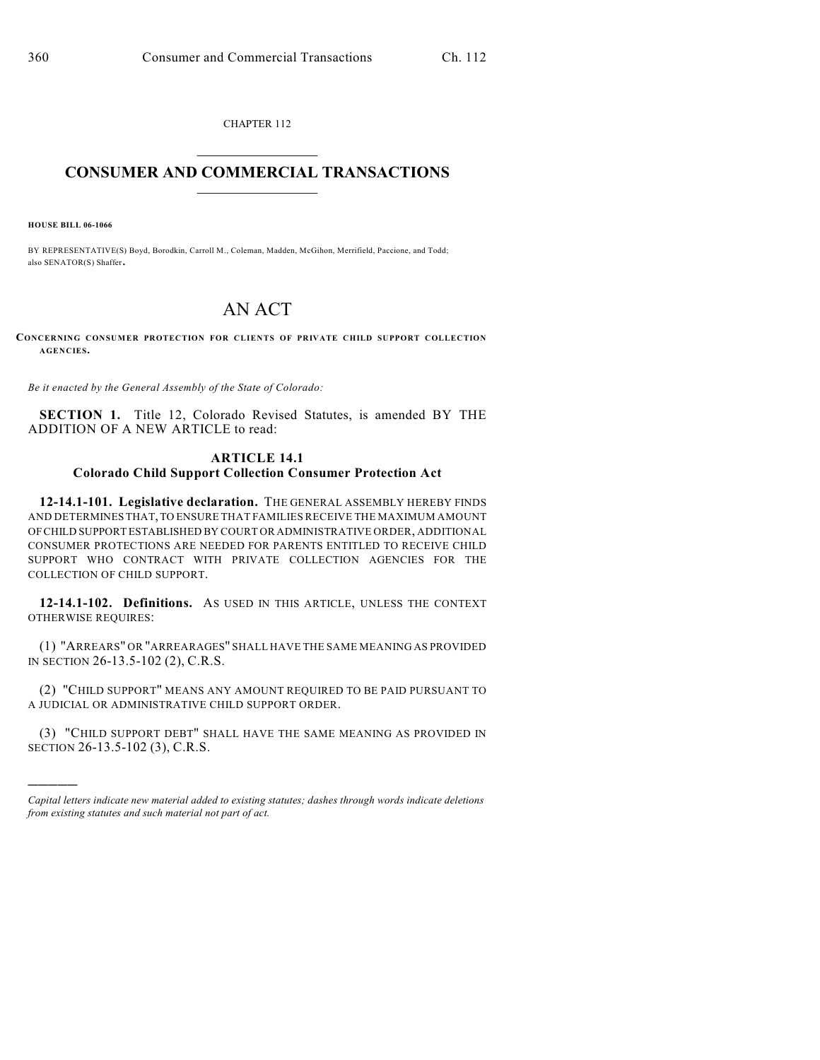CHAPTER 112  $\overline{\phantom{a}}$  . The set of the set of the set of the set of the set of the set of the set of the set of the set of the set of the set of the set of the set of the set of the set of the set of the set of the set of the set o

## **CONSUMER AND COMMERCIAL TRANSACTIONS**  $\frac{1}{2}$  ,  $\frac{1}{2}$  ,  $\frac{1}{2}$  ,  $\frac{1}{2}$  ,  $\frac{1}{2}$  ,  $\frac{1}{2}$

**HOUSE BILL 06-1066**

)))))

BY REPRESENTATIVE(S) Boyd, Borodkin, Carroll M., Coleman, Madden, McGihon, Merrifield, Paccione, and Todd; also SENATOR(S) Shaffer.

## AN ACT

**CONCERNING CONSUMER PROTECTION FOR CLIENTS OF PRIVATE CHILD SUPPORT COLLECTION AGENCIES.**

*Be it enacted by the General Assembly of the State of Colorado:*

**SECTION 1.** Title 12, Colorado Revised Statutes, is amended BY THE ADDITION OF A NEW ARTICLE to read:

## **ARTICLE 14.1 Colorado Child Support Collection Consumer Protection Act**

**12-14.1-101. Legislative declaration.** THE GENERAL ASSEMBLY HEREBY FINDS AND DETERMINES THAT, TO ENSURE THAT FAMILIES RECEIVE THE MAXIMUM AMOUNT OF CHILD SUPPORT ESTABLISHED BY COURT OR ADMINISTRATIVE ORDER, ADDITIONAL CONSUMER PROTECTIONS ARE NEEDED FOR PARENTS ENTITLED TO RECEIVE CHILD SUPPORT WHO CONTRACT WITH PRIVATE COLLECTION AGENCIES FOR THE COLLECTION OF CHILD SUPPORT.

**12-14.1-102. Definitions.** AS USED IN THIS ARTICLE, UNLESS THE CONTEXT OTHERWISE REQUIRES:

(1) "ARREARS" OR "ARREARAGES" SHALL HAVE THE SAME MEANING AS PROVIDED IN SECTION 26-13.5-102 (2), C.R.S.

(2) "CHILD SUPPORT" MEANS ANY AMOUNT REQUIRED TO BE PAID PURSUANT TO A JUDICIAL OR ADMINISTRATIVE CHILD SUPPORT ORDER.

(3) "CHILD SUPPORT DEBT" SHALL HAVE THE SAME MEANING AS PROVIDED IN SECTION 26-13.5-102 (3), C.R.S.

*Capital letters indicate new material added to existing statutes; dashes through words indicate deletions from existing statutes and such material not part of act.*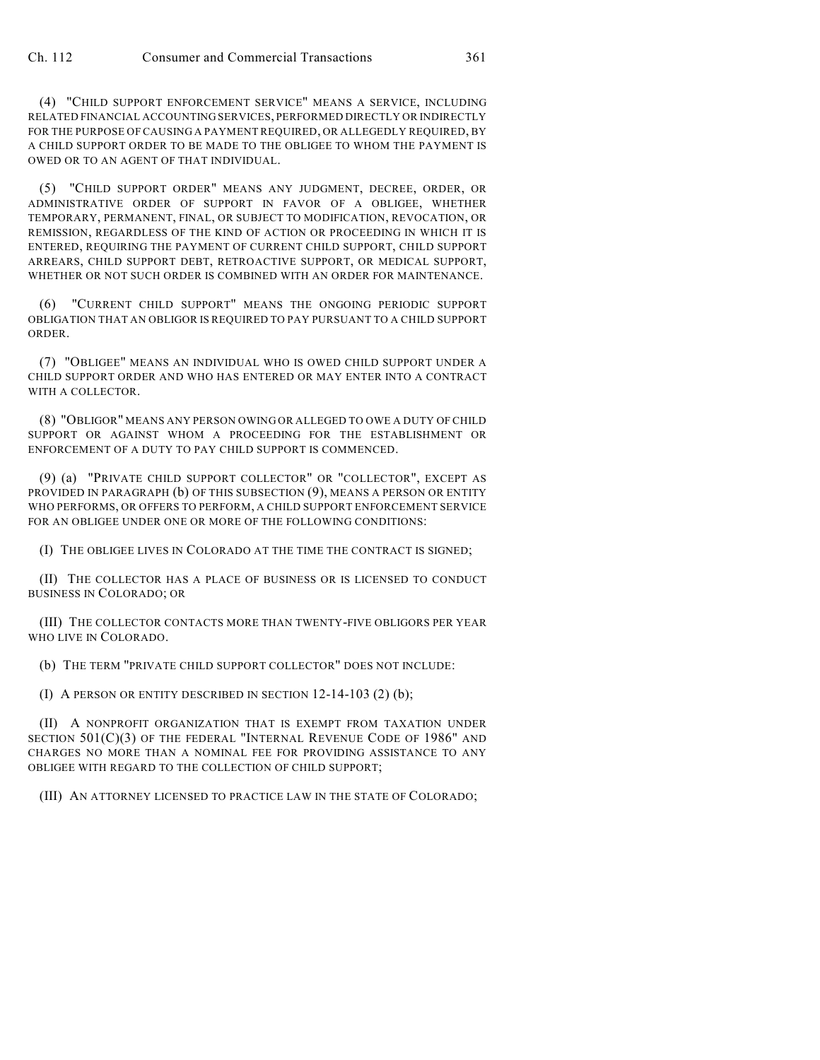(4) "CHILD SUPPORT ENFORCEMENT SERVICE" MEANS A SERVICE, INCLUDING RELATED FINANCIAL ACCOUNTING SERVICES, PERFORMED DIRECTLY OR INDIRECTLY FOR THE PURPOSE OF CAUSING A PAYMENT REQUIRED, OR ALLEGEDLY REQUIRED, BY A CHILD SUPPORT ORDER TO BE MADE TO THE OBLIGEE TO WHOM THE PAYMENT IS OWED OR TO AN AGENT OF THAT INDIVIDUAL.

(5) "CHILD SUPPORT ORDER" MEANS ANY JUDGMENT, DECREE, ORDER, OR ADMINISTRATIVE ORDER OF SUPPORT IN FAVOR OF A OBLIGEE, WHETHER TEMPORARY, PERMANENT, FINAL, OR SUBJECT TO MODIFICATION, REVOCATION, OR REMISSION, REGARDLESS OF THE KIND OF ACTION OR PROCEEDING IN WHICH IT IS ENTERED, REQUIRING THE PAYMENT OF CURRENT CHILD SUPPORT, CHILD SUPPORT ARREARS, CHILD SUPPORT DEBT, RETROACTIVE SUPPORT, OR MEDICAL SUPPORT, WHETHER OR NOT SUCH ORDER IS COMBINED WITH AN ORDER FOR MAINTENANCE.

(6) "CURRENT CHILD SUPPORT" MEANS THE ONGOING PERIODIC SUPPORT OBLIGATION THAT AN OBLIGOR IS REQUIRED TO PAY PURSUANT TO A CHILD SUPPORT ORDER.

(7) "OBLIGEE" MEANS AN INDIVIDUAL WHO IS OWED CHILD SUPPORT UNDER A CHILD SUPPORT ORDER AND WHO HAS ENTERED OR MAY ENTER INTO A CONTRACT WITH A COLLECTOR.

(8) "OBLIGOR" MEANS ANY PERSON OWING OR ALLEGED TO OWE A DUTY OF CHILD SUPPORT OR AGAINST WHOM A PROCEEDING FOR THE ESTABLISHMENT OR ENFORCEMENT OF A DUTY TO PAY CHILD SUPPORT IS COMMENCED.

(9) (a) "PRIVATE CHILD SUPPORT COLLECTOR" OR "COLLECTOR", EXCEPT AS PROVIDED IN PARAGRAPH (b) OF THIS SUBSECTION (9), MEANS A PERSON OR ENTITY WHO PERFORMS, OR OFFERS TO PERFORM, A CHILD SUPPORT ENFORCEMENT SERVICE FOR AN OBLIGEE UNDER ONE OR MORE OF THE FOLLOWING CONDITIONS:

(I) THE OBLIGEE LIVES IN COLORADO AT THE TIME THE CONTRACT IS SIGNED;

(II) THE COLLECTOR HAS A PLACE OF BUSINESS OR IS LICENSED TO CONDUCT BUSINESS IN COLORADO; OR

(III) THE COLLECTOR CONTACTS MORE THAN TWENTY-FIVE OBLIGORS PER YEAR WHO LIVE IN COLORADO.

(b) THE TERM "PRIVATE CHILD SUPPORT COLLECTOR" DOES NOT INCLUDE:

(I) A PERSON OR ENTITY DESCRIBED IN SECTION 12-14-103 (2) (b);

(II) A NONPROFIT ORGANIZATION THAT IS EXEMPT FROM TAXATION UNDER SECTION 501(C)(3) OF THE FEDERAL "INTERNAL REVENUE CODE OF 1986" AND CHARGES NO MORE THAN A NOMINAL FEE FOR PROVIDING ASSISTANCE TO ANY OBLIGEE WITH REGARD TO THE COLLECTION OF CHILD SUPPORT;

(III) AN ATTORNEY LICENSED TO PRACTICE LAW IN THE STATE OF COLORADO;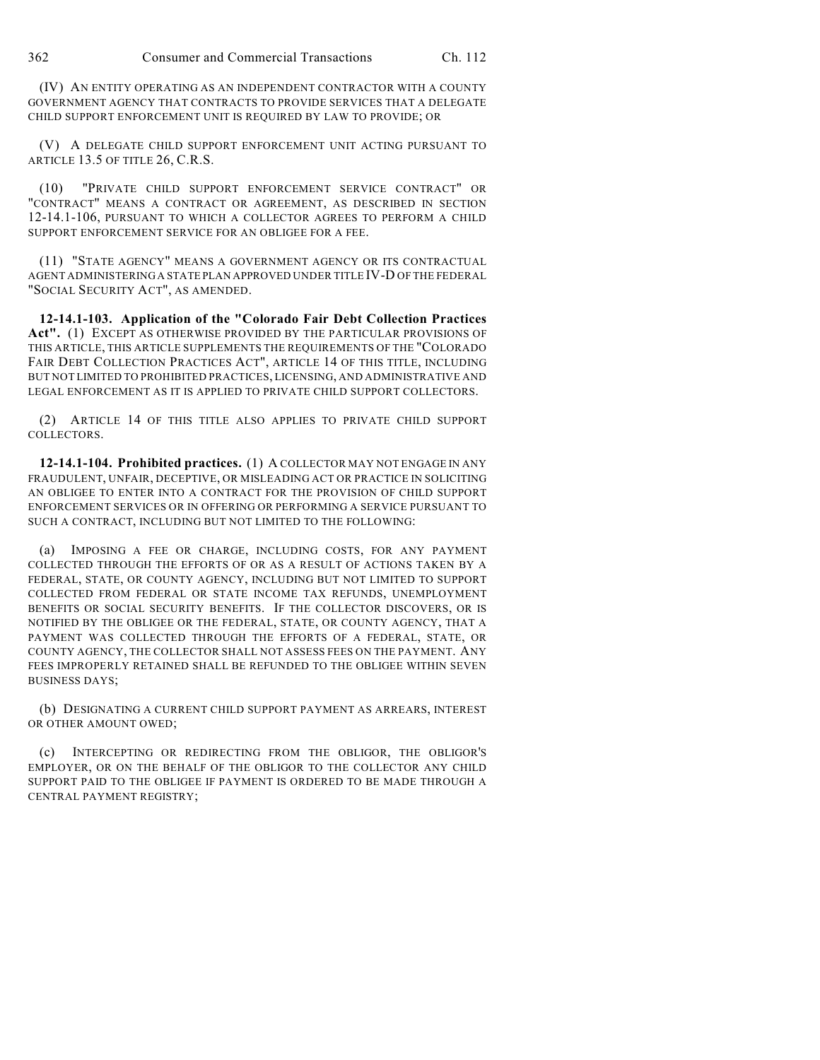(IV) AN ENTITY OPERATING AS AN INDEPENDENT CONTRACTOR WITH A COUNTY GOVERNMENT AGENCY THAT CONTRACTS TO PROVIDE SERVICES THAT A DELEGATE CHILD SUPPORT ENFORCEMENT UNIT IS REQUIRED BY LAW TO PROVIDE; OR

(V) A DELEGATE CHILD SUPPORT ENFORCEMENT UNIT ACTING PURSUANT TO ARTICLE 13.5 OF TITLE 26, C.R.S.

(10) "PRIVATE CHILD SUPPORT ENFORCEMENT SERVICE CONTRACT" OR "CONTRACT" MEANS A CONTRACT OR AGREEMENT, AS DESCRIBED IN SECTION 12-14.1-106, PURSUANT TO WHICH A COLLECTOR AGREES TO PERFORM A CHILD SUPPORT ENFORCEMENT SERVICE FOR AN OBLIGEE FOR A FEE.

(11) "STATE AGENCY" MEANS A GOVERNMENT AGENCY OR ITS CONTRACTUAL AGENT ADMINISTERING A STATE PLAN APPROVED UNDER TITLE IV-D OF THE FEDERAL "SOCIAL SECURITY ACT", AS AMENDED.

**12-14.1-103. Application of the "Colorado Fair Debt Collection Practices Act".** (1) EXCEPT AS OTHERWISE PROVIDED BY THE PARTICULAR PROVISIONS OF THIS ARTICLE, THIS ARTICLE SUPPLEMENTS THE REQUIREMENTS OF THE "COLORADO FAIR DEBT COLLECTION PRACTICES ACT", ARTICLE 14 OF THIS TITLE, INCLUDING BUT NOT LIMITED TO PROHIBITED PRACTICES, LICENSING, AND ADMINISTRATIVE AND LEGAL ENFORCEMENT AS IT IS APPLIED TO PRIVATE CHILD SUPPORT COLLECTORS.

(2) ARTICLE 14 OF THIS TITLE ALSO APPLIES TO PRIVATE CHILD SUPPORT COLLECTORS.

**12-14.1-104. Prohibited practices.** (1) A COLLECTOR MAY NOT ENGAGE IN ANY FRAUDULENT, UNFAIR, DECEPTIVE, OR MISLEADING ACT OR PRACTICE IN SOLICITING AN OBLIGEE TO ENTER INTO A CONTRACT FOR THE PROVISION OF CHILD SUPPORT ENFORCEMENT SERVICES OR IN OFFERING OR PERFORMING A SERVICE PURSUANT TO SUCH A CONTRACT, INCLUDING BUT NOT LIMITED TO THE FOLLOWING:

(a) IMPOSING A FEE OR CHARGE, INCLUDING COSTS, FOR ANY PAYMENT COLLECTED THROUGH THE EFFORTS OF OR AS A RESULT OF ACTIONS TAKEN BY A FEDERAL, STATE, OR COUNTY AGENCY, INCLUDING BUT NOT LIMITED TO SUPPORT COLLECTED FROM FEDERAL OR STATE INCOME TAX REFUNDS, UNEMPLOYMENT BENEFITS OR SOCIAL SECURITY BENEFITS. IF THE COLLECTOR DISCOVERS, OR IS NOTIFIED BY THE OBLIGEE OR THE FEDERAL, STATE, OR COUNTY AGENCY, THAT A PAYMENT WAS COLLECTED THROUGH THE EFFORTS OF A FEDERAL, STATE, OR COUNTY AGENCY, THE COLLECTOR SHALL NOT ASSESS FEES ON THE PAYMENT. ANY FEES IMPROPERLY RETAINED SHALL BE REFUNDED TO THE OBLIGEE WITHIN SEVEN BUSINESS DAYS;

(b) DESIGNATING A CURRENT CHILD SUPPORT PAYMENT AS ARREARS, INTEREST OR OTHER AMOUNT OWED;

(c) INTERCEPTING OR REDIRECTING FROM THE OBLIGOR, THE OBLIGOR'S EMPLOYER, OR ON THE BEHALF OF THE OBLIGOR TO THE COLLECTOR ANY CHILD SUPPORT PAID TO THE OBLIGEE IF PAYMENT IS ORDERED TO BE MADE THROUGH A CENTRAL PAYMENT REGISTRY;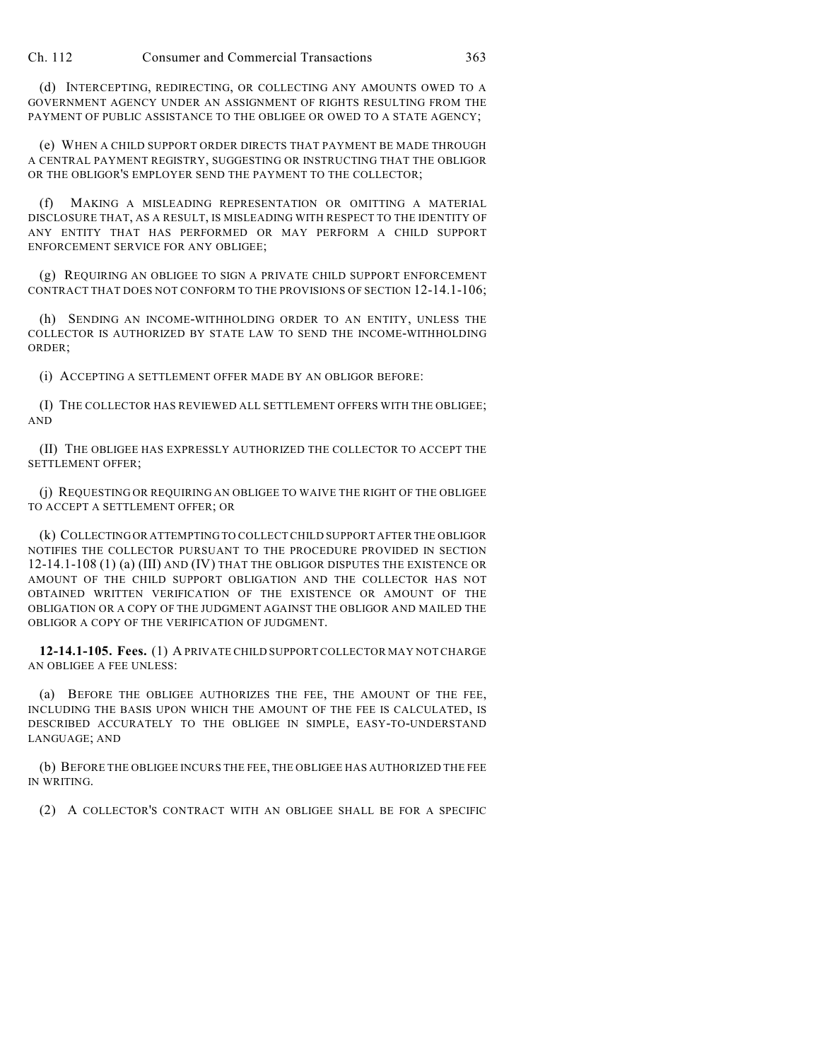(d) INTERCEPTING, REDIRECTING, OR COLLECTING ANY AMOUNTS OWED TO A GOVERNMENT AGENCY UNDER AN ASSIGNMENT OF RIGHTS RESULTING FROM THE PAYMENT OF PUBLIC ASSISTANCE TO THE OBLIGEE OR OWED TO A STATE AGENCY;

(e) WHEN A CHILD SUPPORT ORDER DIRECTS THAT PAYMENT BE MADE THROUGH A CENTRAL PAYMENT REGISTRY, SUGGESTING OR INSTRUCTING THAT THE OBLIGOR OR THE OBLIGOR'S EMPLOYER SEND THE PAYMENT TO THE COLLECTOR;

(f) MAKING A MISLEADING REPRESENTATION OR OMITTING A MATERIAL DISCLOSURE THAT, AS A RESULT, IS MISLEADING WITH RESPECT TO THE IDENTITY OF ANY ENTITY THAT HAS PERFORMED OR MAY PERFORM A CHILD SUPPORT ENFORCEMENT SERVICE FOR ANY OBLIGEE;

(g) REQUIRING AN OBLIGEE TO SIGN A PRIVATE CHILD SUPPORT ENFORCEMENT CONTRACT THAT DOES NOT CONFORM TO THE PROVISIONS OF SECTION 12-14.1-106;

(h) SENDING AN INCOME-WITHHOLDING ORDER TO AN ENTITY, UNLESS THE COLLECTOR IS AUTHORIZED BY STATE LAW TO SEND THE INCOME-WITHHOLDING ORDER;

(i) ACCEPTING A SETTLEMENT OFFER MADE BY AN OBLIGOR BEFORE:

(I) THE COLLECTOR HAS REVIEWED ALL SETTLEMENT OFFERS WITH THE OBLIGEE; AND

(II) THE OBLIGEE HAS EXPRESSLY AUTHORIZED THE COLLECTOR TO ACCEPT THE SETTLEMENT OFFER;

(j) REQUESTING OR REQUIRING AN OBLIGEE TO WAIVE THE RIGHT OF THE OBLIGEE TO ACCEPT A SETTLEMENT OFFER; OR

(k) COLLECTING OR ATTEMPTING TO COLLECT CHILD SUPPORT AFTER THE OBLIGOR NOTIFIES THE COLLECTOR PURSUANT TO THE PROCEDURE PROVIDED IN SECTION 12-14.1-108 (1) (a) (III) AND (IV) THAT THE OBLIGOR DISPUTES THE EXISTENCE OR AMOUNT OF THE CHILD SUPPORT OBLIGATION AND THE COLLECTOR HAS NOT OBTAINED WRITTEN VERIFICATION OF THE EXISTENCE OR AMOUNT OF THE OBLIGATION OR A COPY OF THE JUDGMENT AGAINST THE OBLIGOR AND MAILED THE OBLIGOR A COPY OF THE VERIFICATION OF JUDGMENT.

**12-14.1-105. Fees.** (1) A PRIVATE CHILD SUPPORT COLLECTOR MAY NOT CHARGE AN OBLIGEE A FEE UNLESS:

(a) BEFORE THE OBLIGEE AUTHORIZES THE FEE, THE AMOUNT OF THE FEE, INCLUDING THE BASIS UPON WHICH THE AMOUNT OF THE FEE IS CALCULATED, IS DESCRIBED ACCURATELY TO THE OBLIGEE IN SIMPLE, EASY-TO-UNDERSTAND LANGUAGE; AND

(b) BEFORE THE OBLIGEE INCURS THE FEE, THE OBLIGEE HAS AUTHORIZED THE FEE IN WRITING.

(2) A COLLECTOR'S CONTRACT WITH AN OBLIGEE SHALL BE FOR A SPECIFIC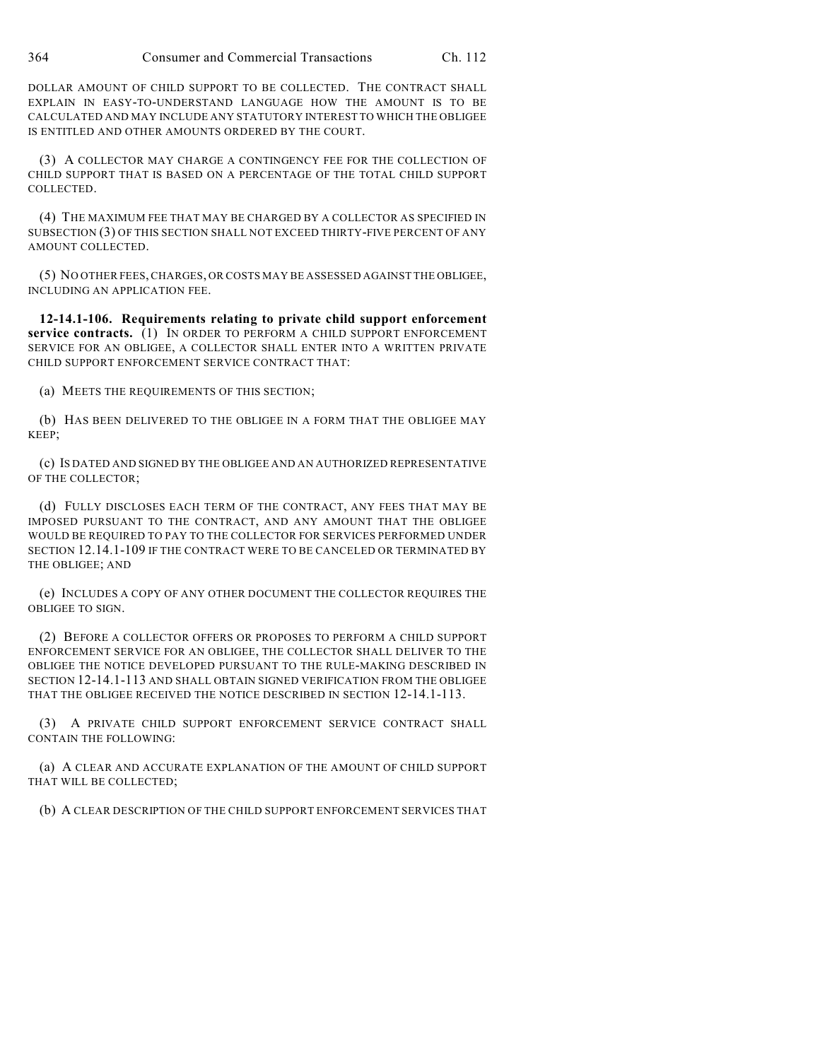DOLLAR AMOUNT OF CHILD SUPPORT TO BE COLLECTED. THE CONTRACT SHALL EXPLAIN IN EASY-TO-UNDERSTAND LANGUAGE HOW THE AMOUNT IS TO BE CALCULATED AND MAY INCLUDE ANY STATUTORY INTEREST TO WHICH THE OBLIGEE IS ENTITLED AND OTHER AMOUNTS ORDERED BY THE COURT.

(3) A COLLECTOR MAY CHARGE A CONTINGENCY FEE FOR THE COLLECTION OF CHILD SUPPORT THAT IS BASED ON A PERCENTAGE OF THE TOTAL CHILD SUPPORT COLLECTED.

(4) THE MAXIMUM FEE THAT MAY BE CHARGED BY A COLLECTOR AS SPECIFIED IN SUBSECTION (3) OF THIS SECTION SHALL NOT EXCEED THIRTY-FIVE PERCENT OF ANY AMOUNT COLLECTED.

(5) NO OTHER FEES, CHARGES, OR COSTS MAY BE ASSESSED AGAINST THE OBLIGEE, INCLUDING AN APPLICATION FEE.

**12-14.1-106. Requirements relating to private child support enforcement service contracts.** (1) IN ORDER TO PERFORM A CHILD SUPPORT ENFORCEMENT SERVICE FOR AN OBLIGEE, A COLLECTOR SHALL ENTER INTO A WRITTEN PRIVATE CHILD SUPPORT ENFORCEMENT SERVICE CONTRACT THAT:

(a) MEETS THE REQUIREMENTS OF THIS SECTION;

(b) HAS BEEN DELIVERED TO THE OBLIGEE IN A FORM THAT THE OBLIGEE MAY KEEP;

(c) IS DATED AND SIGNED BY THE OBLIGEE AND AN AUTHORIZED REPRESENTATIVE OF THE COLLECTOR;

(d) FULLY DISCLOSES EACH TERM OF THE CONTRACT, ANY FEES THAT MAY BE IMPOSED PURSUANT TO THE CONTRACT, AND ANY AMOUNT THAT THE OBLIGEE WOULD BE REQUIRED TO PAY TO THE COLLECTOR FOR SERVICES PERFORMED UNDER SECTION 12.14.1-109 IF THE CONTRACT WERE TO BE CANCELED OR TERMINATED BY THE OBLIGEE; AND

(e) INCLUDES A COPY OF ANY OTHER DOCUMENT THE COLLECTOR REQUIRES THE OBLIGEE TO SIGN.

(2) BEFORE A COLLECTOR OFFERS OR PROPOSES TO PERFORM A CHILD SUPPORT ENFORCEMENT SERVICE FOR AN OBLIGEE, THE COLLECTOR SHALL DELIVER TO THE OBLIGEE THE NOTICE DEVELOPED PURSUANT TO THE RULE-MAKING DESCRIBED IN SECTION 12-14.1-113 AND SHALL OBTAIN SIGNED VERIFICATION FROM THE OBLIGEE THAT THE OBLIGEE RECEIVED THE NOTICE DESCRIBED IN SECTION 12-14.1-113.

(3) A PRIVATE CHILD SUPPORT ENFORCEMENT SERVICE CONTRACT SHALL CONTAIN THE FOLLOWING:

(a) A CLEAR AND ACCURATE EXPLANATION OF THE AMOUNT OF CHILD SUPPORT THAT WILL BE COLLECTED;

(b) A CLEAR DESCRIPTION OF THE CHILD SUPPORT ENFORCEMENT SERVICES THAT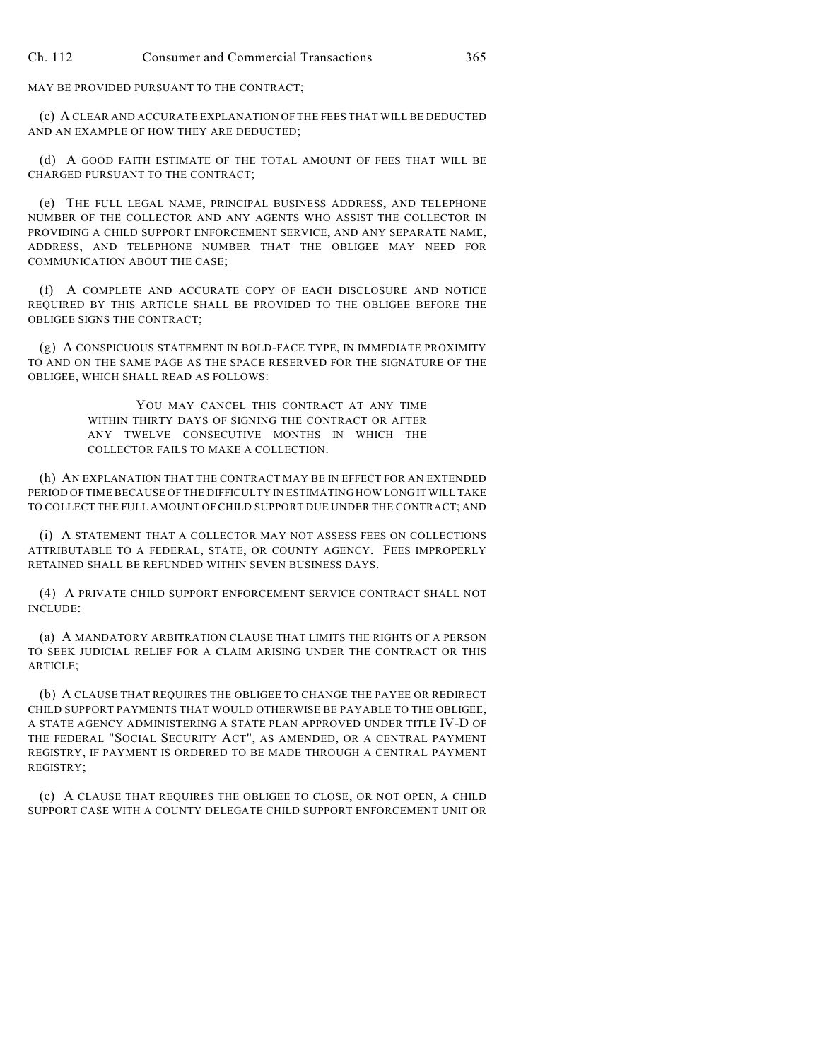MAY BE PROVIDED PURSUANT TO THE CONTRACT;

(c) A CLEAR AND ACCURATE EXPLANATION OF THE FEES THAT WILL BE DEDUCTED AND AN EXAMPLE OF HOW THEY ARE DEDUCTED;

(d) A GOOD FAITH ESTIMATE OF THE TOTAL AMOUNT OF FEES THAT WILL BE CHARGED PURSUANT TO THE CONTRACT;

(e) THE FULL LEGAL NAME, PRINCIPAL BUSINESS ADDRESS, AND TELEPHONE NUMBER OF THE COLLECTOR AND ANY AGENTS WHO ASSIST THE COLLECTOR IN PROVIDING A CHILD SUPPORT ENFORCEMENT SERVICE, AND ANY SEPARATE NAME, ADDRESS, AND TELEPHONE NUMBER THAT THE OBLIGEE MAY NEED FOR COMMUNICATION ABOUT THE CASE;

(f) A COMPLETE AND ACCURATE COPY OF EACH DISCLOSURE AND NOTICE REQUIRED BY THIS ARTICLE SHALL BE PROVIDED TO THE OBLIGEE BEFORE THE OBLIGEE SIGNS THE CONTRACT;

(g) A CONSPICUOUS STATEMENT IN BOLD-FACE TYPE, IN IMMEDIATE PROXIMITY TO AND ON THE SAME PAGE AS THE SPACE RESERVED FOR THE SIGNATURE OF THE OBLIGEE, WHICH SHALL READ AS FOLLOWS:

> YOU MAY CANCEL THIS CONTRACT AT ANY TIME WITHIN THIRTY DAYS OF SIGNING THE CONTRACT OR AFTER ANY TWELVE CONSECUTIVE MONTHS IN WHICH THE COLLECTOR FAILS TO MAKE A COLLECTION.

(h) AN EXPLANATION THAT THE CONTRACT MAY BE IN EFFECT FOR AN EXTENDED PERIOD OF TIME BECAUSE OF THE DIFFICULTY IN ESTIMATING HOW LONG IT WILL TAKE TO COLLECT THE FULL AMOUNT OF CHILD SUPPORT DUE UNDER THE CONTRACT; AND

(i) A STATEMENT THAT A COLLECTOR MAY NOT ASSESS FEES ON COLLECTIONS ATTRIBUTABLE TO A FEDERAL, STATE, OR COUNTY AGENCY. FEES IMPROPERLY RETAINED SHALL BE REFUNDED WITHIN SEVEN BUSINESS DAYS.

(4) A PRIVATE CHILD SUPPORT ENFORCEMENT SERVICE CONTRACT SHALL NOT INCLUDE:

(a) A MANDATORY ARBITRATION CLAUSE THAT LIMITS THE RIGHTS OF A PERSON TO SEEK JUDICIAL RELIEF FOR A CLAIM ARISING UNDER THE CONTRACT OR THIS ARTICLE;

(b) A CLAUSE THAT REQUIRES THE OBLIGEE TO CHANGE THE PAYEE OR REDIRECT CHILD SUPPORT PAYMENTS THAT WOULD OTHERWISE BE PAYABLE TO THE OBLIGEE, A STATE AGENCY ADMINISTERING A STATE PLAN APPROVED UNDER TITLE IV-D OF THE FEDERAL "SOCIAL SECURITY ACT", AS AMENDED, OR A CENTRAL PAYMENT REGISTRY, IF PAYMENT IS ORDERED TO BE MADE THROUGH A CENTRAL PAYMENT REGISTRY;

(c) A CLAUSE THAT REQUIRES THE OBLIGEE TO CLOSE, OR NOT OPEN, A CHILD SUPPORT CASE WITH A COUNTY DELEGATE CHILD SUPPORT ENFORCEMENT UNIT OR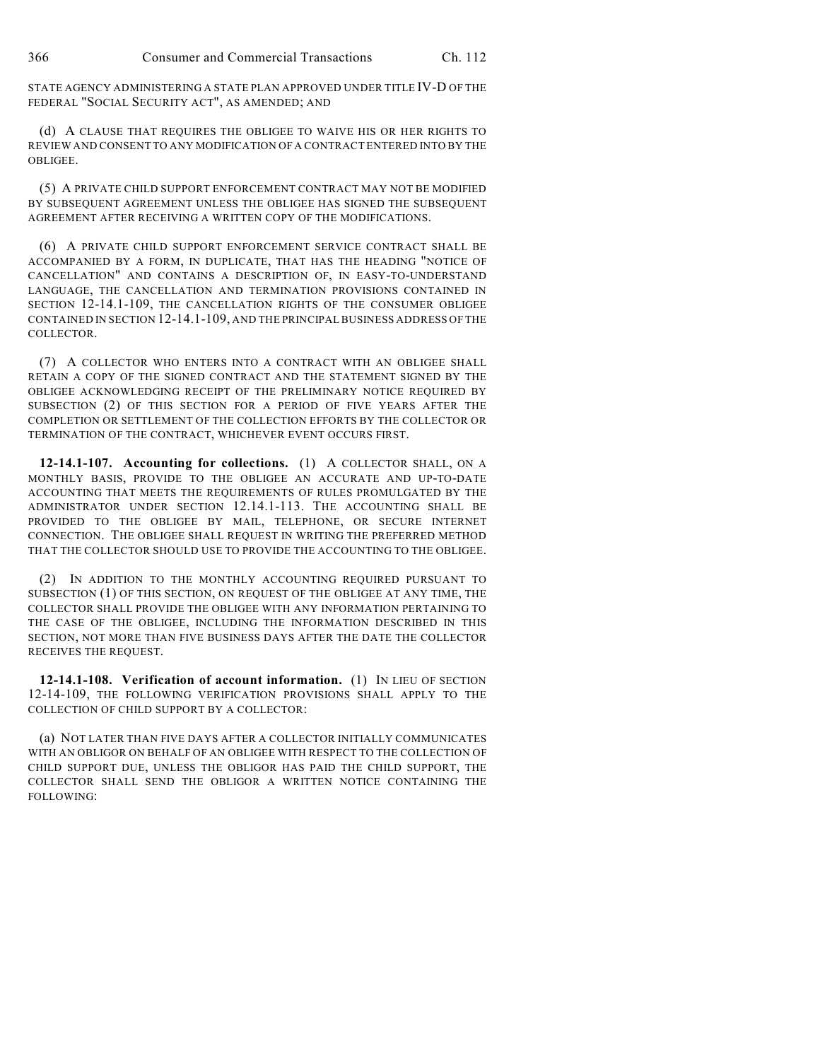STATE AGENCY ADMINISTERING A STATE PLAN APPROVED UNDER TITLE IV-D OF THE FEDERAL "SOCIAL SECURITY ACT", AS AMENDED; AND

(d) A CLAUSE THAT REQUIRES THE OBLIGEE TO WAIVE HIS OR HER RIGHTS TO REVIEW AND CONSENT TO ANY MODIFICATION OF A CONTRACT ENTERED INTO BY THE OBLIGEE.

(5) A PRIVATE CHILD SUPPORT ENFORCEMENT CONTRACT MAY NOT BE MODIFIED BY SUBSEQUENT AGREEMENT UNLESS THE OBLIGEE HAS SIGNED THE SUBSEQUENT AGREEMENT AFTER RECEIVING A WRITTEN COPY OF THE MODIFICATIONS.

(6) A PRIVATE CHILD SUPPORT ENFORCEMENT SERVICE CONTRACT SHALL BE ACCOMPANIED BY A FORM, IN DUPLICATE, THAT HAS THE HEADING "NOTICE OF CANCELLATION" AND CONTAINS A DESCRIPTION OF, IN EASY-TO-UNDERSTAND LANGUAGE, THE CANCELLATION AND TERMINATION PROVISIONS CONTAINED IN SECTION 12-14.1-109, THE CANCELLATION RIGHTS OF THE CONSUMER OBLIGEE CONTAINED IN SECTION 12-14.1-109, AND THE PRINCIPAL BUSINESS ADDRESS OF THE COLLECTOR.

(7) A COLLECTOR WHO ENTERS INTO A CONTRACT WITH AN OBLIGEE SHALL RETAIN A COPY OF THE SIGNED CONTRACT AND THE STATEMENT SIGNED BY THE OBLIGEE ACKNOWLEDGING RECEIPT OF THE PRELIMINARY NOTICE REQUIRED BY SUBSECTION (2) OF THIS SECTION FOR A PERIOD OF FIVE YEARS AFTER THE COMPLETION OR SETTLEMENT OF THE COLLECTION EFFORTS BY THE COLLECTOR OR TERMINATION OF THE CONTRACT, WHICHEVER EVENT OCCURS FIRST.

**12-14.1-107. Accounting for collections.** (1) A COLLECTOR SHALL, ON A MONTHLY BASIS, PROVIDE TO THE OBLIGEE AN ACCURATE AND UP-TO-DATE ACCOUNTING THAT MEETS THE REQUIREMENTS OF RULES PROMULGATED BY THE ADMINISTRATOR UNDER SECTION 12.14.1-113. THE ACCOUNTING SHALL BE PROVIDED TO THE OBLIGEE BY MAIL, TELEPHONE, OR SECURE INTERNET CONNECTION. THE OBLIGEE SHALL REQUEST IN WRITING THE PREFERRED METHOD THAT THE COLLECTOR SHOULD USE TO PROVIDE THE ACCOUNTING TO THE OBLIGEE.

(2) IN ADDITION TO THE MONTHLY ACCOUNTING REQUIRED PURSUANT TO SUBSECTION (1) OF THIS SECTION, ON REQUEST OF THE OBLIGEE AT ANY TIME, THE COLLECTOR SHALL PROVIDE THE OBLIGEE WITH ANY INFORMATION PERTAINING TO THE CASE OF THE OBLIGEE, INCLUDING THE INFORMATION DESCRIBED IN THIS SECTION, NOT MORE THAN FIVE BUSINESS DAYS AFTER THE DATE THE COLLECTOR RECEIVES THE REQUEST.

**12-14.1-108. Verification of account information.** (1) IN LIEU OF SECTION 12-14-109, THE FOLLOWING VERIFICATION PROVISIONS SHALL APPLY TO THE COLLECTION OF CHILD SUPPORT BY A COLLECTOR:

(a) NOT LATER THAN FIVE DAYS AFTER A COLLECTOR INITIALLY COMMUNICATES WITH AN OBLIGOR ON BEHALF OF AN OBLIGEE WITH RESPECT TO THE COLLECTION OF CHILD SUPPORT DUE, UNLESS THE OBLIGOR HAS PAID THE CHILD SUPPORT, THE COLLECTOR SHALL SEND THE OBLIGOR A WRITTEN NOTICE CONTAINING THE FOLLOWING: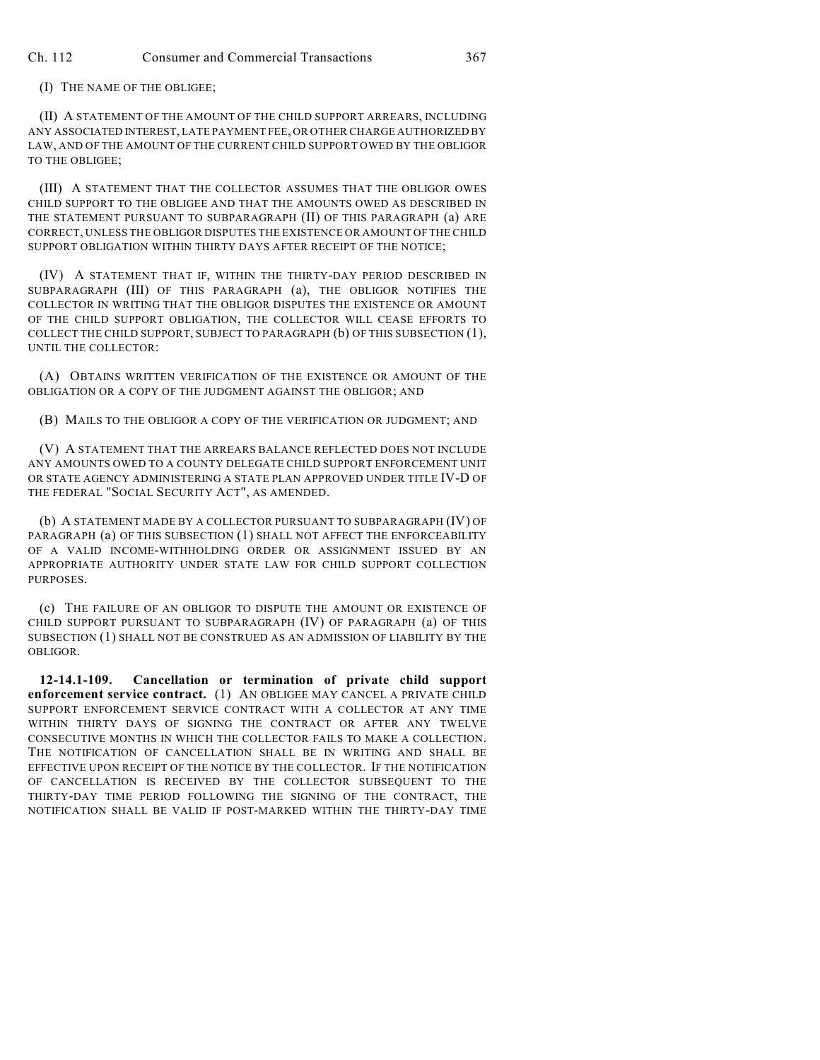(I) THE NAME OF THE OBLIGEE;

(II) A STATEMENT OF THE AMOUNT OF THE CHILD SUPPORT ARREARS, INCLUDING ANY ASSOCIATED INTEREST, LATE PAYMENT FEE, OR OTHER CHARGE AUTHORIZED BY LAW, AND OF THE AMOUNT OF THE CURRENT CHILD SUPPORT OWED BY THE OBLIGOR TO THE OBLIGEE;

(III) A STATEMENT THAT THE COLLECTOR ASSUMES THAT THE OBLIGOR OWES CHILD SUPPORT TO THE OBLIGEE AND THAT THE AMOUNTS OWED AS DESCRIBED IN THE STATEMENT PURSUANT TO SUBPARAGRAPH (II) OF THIS PARAGRAPH (a) ARE CORRECT, UNLESS THE OBLIGOR DISPUTES THE EXISTENCE OR AMOUNT OF THE CHILD SUPPORT OBLIGATION WITHIN THIRTY DAYS AFTER RECEIPT OF THE NOTICE;

(IV) A STATEMENT THAT IF, WITHIN THE THIRTY-DAY PERIOD DESCRIBED IN SUBPARAGRAPH (III) OF THIS PARAGRAPH (a), THE OBLIGOR NOTIFIES THE COLLECTOR IN WRITING THAT THE OBLIGOR DISPUTES THE EXISTENCE OR AMOUNT OF THE CHILD SUPPORT OBLIGATION, THE COLLECTOR WILL CEASE EFFORTS TO COLLECT THE CHILD SUPPORT, SUBJECT TO PARAGRAPH (b) OF THIS SUBSECTION (1), UNTIL THE COLLECTOR:

(A) OBTAINS WRITTEN VERIFICATION OF THE EXISTENCE OR AMOUNT OF THE OBLIGATION OR A COPY OF THE JUDGMENT AGAINST THE OBLIGOR; AND

(B) MAILS TO THE OBLIGOR A COPY OF THE VERIFICATION OR JUDGMENT; AND

(V) A STATEMENT THAT THE ARREARS BALANCE REFLECTED DOES NOT INCLUDE ANY AMOUNTS OWED TO A COUNTY DELEGATE CHILD SUPPORT ENFORCEMENT UNIT OR STATE AGENCY ADMINISTERING A STATE PLAN APPROVED UNDER TITLE IV-D OF THE FEDERAL "SOCIAL SECURITY ACT", AS AMENDED.

(b) A STATEMENT MADE BY A COLLECTOR PURSUANT TO SUBPARAGRAPH (IV) OF PARAGRAPH (a) OF THIS SUBSECTION (1) SHALL NOT AFFECT THE ENFORCEABILITY OF A VALID INCOME-WITHHOLDING ORDER OR ASSIGNMENT ISSUED BY AN APPROPRIATE AUTHORITY UNDER STATE LAW FOR CHILD SUPPORT COLLECTION PURPOSES.

(c) THE FAILURE OF AN OBLIGOR TO DISPUTE THE AMOUNT OR EXISTENCE OF CHILD SUPPORT PURSUANT TO SUBPARAGRAPH (IV) OF PARAGRAPH (a) OF THIS SUBSECTION (1) SHALL NOT BE CONSTRUED AS AN ADMISSION OF LIABILITY BY THE OBLIGOR.

**12-14.1-109. Cancellation or termination of private child support enforcement service contract.** (1) AN OBLIGEE MAY CANCEL A PRIVATE CHILD SUPPORT ENFORCEMENT SERVICE CONTRACT WITH A COLLECTOR AT ANY TIME WITHIN THIRTY DAYS OF SIGNING THE CONTRACT OR AFTER ANY TWELVE CONSECUTIVE MONTHS IN WHICH THE COLLECTOR FAILS TO MAKE A COLLECTION. THE NOTIFICATION OF CANCELLATION SHALL BE IN WRITING AND SHALL BE EFFECTIVE UPON RECEIPT OF THE NOTICE BY THE COLLECTOR. IF THE NOTIFICATION OF CANCELLATION IS RECEIVED BY THE COLLECTOR SUBSEQUENT TO THE THIRTY-DAY TIME PERIOD FOLLOWING THE SIGNING OF THE CONTRACT, THE NOTIFICATION SHALL BE VALID IF POST-MARKED WITHIN THE THIRTY-DAY TIME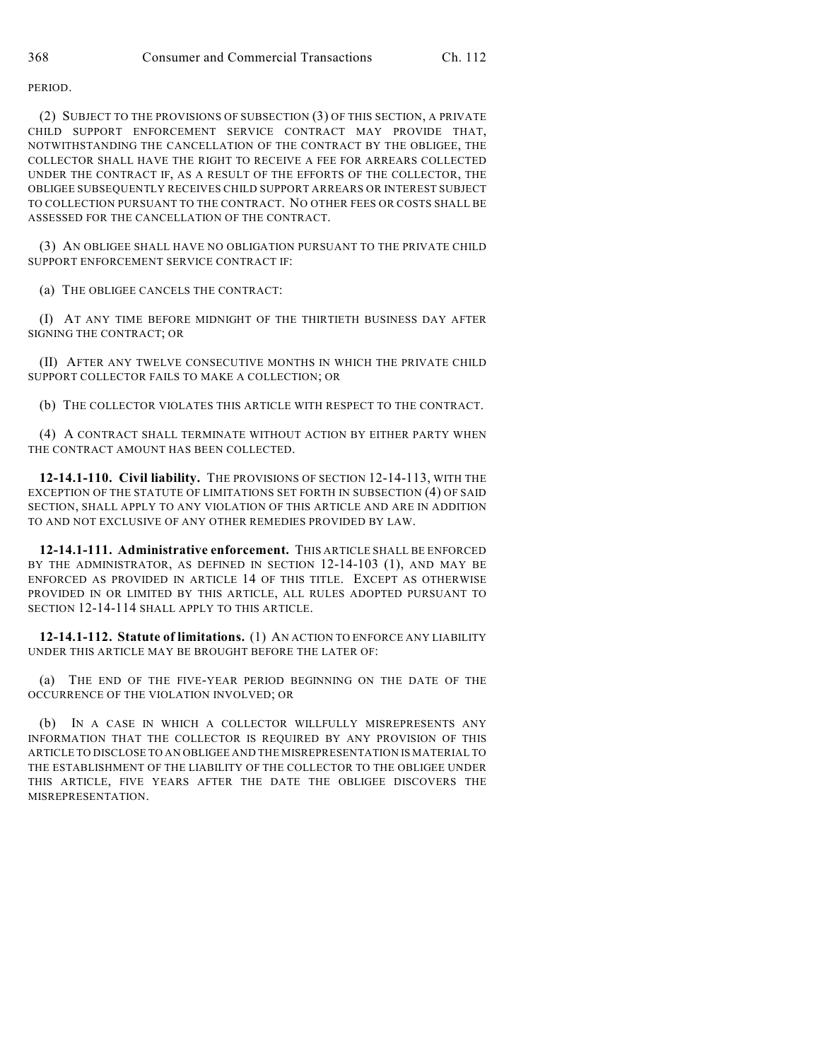PERIOD.

(2) SUBJECT TO THE PROVISIONS OF SUBSECTION (3) OF THIS SECTION, A PRIVATE CHILD SUPPORT ENFORCEMENT SERVICE CONTRACT MAY PROVIDE THAT, NOTWITHSTANDING THE CANCELLATION OF THE CONTRACT BY THE OBLIGEE, THE COLLECTOR SHALL HAVE THE RIGHT TO RECEIVE A FEE FOR ARREARS COLLECTED UNDER THE CONTRACT IF, AS A RESULT OF THE EFFORTS OF THE COLLECTOR, THE OBLIGEE SUBSEQUENTLY RECEIVES CHILD SUPPORT ARREARS OR INTEREST SUBJECT TO COLLECTION PURSUANT TO THE CONTRACT. NO OTHER FEES OR COSTS SHALL BE ASSESSED FOR THE CANCELLATION OF THE CONTRACT.

(3) AN OBLIGEE SHALL HAVE NO OBLIGATION PURSUANT TO THE PRIVATE CHILD SUPPORT ENFORCEMENT SERVICE CONTRACT IF:

(a) THE OBLIGEE CANCELS THE CONTRACT:

(I) AT ANY TIME BEFORE MIDNIGHT OF THE THIRTIETH BUSINESS DAY AFTER SIGNING THE CONTRACT; OR

(II) AFTER ANY TWELVE CONSECUTIVE MONTHS IN WHICH THE PRIVATE CHILD SUPPORT COLLECTOR FAILS TO MAKE A COLLECTION; OR

(b) THE COLLECTOR VIOLATES THIS ARTICLE WITH RESPECT TO THE CONTRACT.

(4) A CONTRACT SHALL TERMINATE WITHOUT ACTION BY EITHER PARTY WHEN THE CONTRACT AMOUNT HAS BEEN COLLECTED.

**12-14.1-110. Civil liability.** THE PROVISIONS OF SECTION 12-14-113, WITH THE EXCEPTION OF THE STATUTE OF LIMITATIONS SET FORTH IN SUBSECTION (4) OF SAID SECTION, SHALL APPLY TO ANY VIOLATION OF THIS ARTICLE AND ARE IN ADDITION TO AND NOT EXCLUSIVE OF ANY OTHER REMEDIES PROVIDED BY LAW.

**12-14.1-111. Administrative enforcement.** THIS ARTICLE SHALL BE ENFORCED BY THE ADMINISTRATOR, AS DEFINED IN SECTION 12-14-103 (1), AND MAY BE ENFORCED AS PROVIDED IN ARTICLE 14 OF THIS TITLE. EXCEPT AS OTHERWISE PROVIDED IN OR LIMITED BY THIS ARTICLE, ALL RULES ADOPTED PURSUANT TO SECTION 12-14-114 SHALL APPLY TO THIS ARTICLE.

**12-14.1-112. Statute of limitations.** (1) AN ACTION TO ENFORCE ANY LIABILITY UNDER THIS ARTICLE MAY BE BROUGHT BEFORE THE LATER OF:

(a) THE END OF THE FIVE-YEAR PERIOD BEGINNING ON THE DATE OF THE OCCURRENCE OF THE VIOLATION INVOLVED; OR

(b) IN A CASE IN WHICH A COLLECTOR WILLFULLY MISREPRESENTS ANY INFORMATION THAT THE COLLECTOR IS REQUIRED BY ANY PROVISION OF THIS ARTICLE TO DISCLOSE TO AN OBLIGEE AND THE MISREPRESENTATION IS MATERIAL TO THE ESTABLISHMENT OF THE LIABILITY OF THE COLLECTOR TO THE OBLIGEE UNDER THIS ARTICLE, FIVE YEARS AFTER THE DATE THE OBLIGEE DISCOVERS THE MISREPRESENTATION.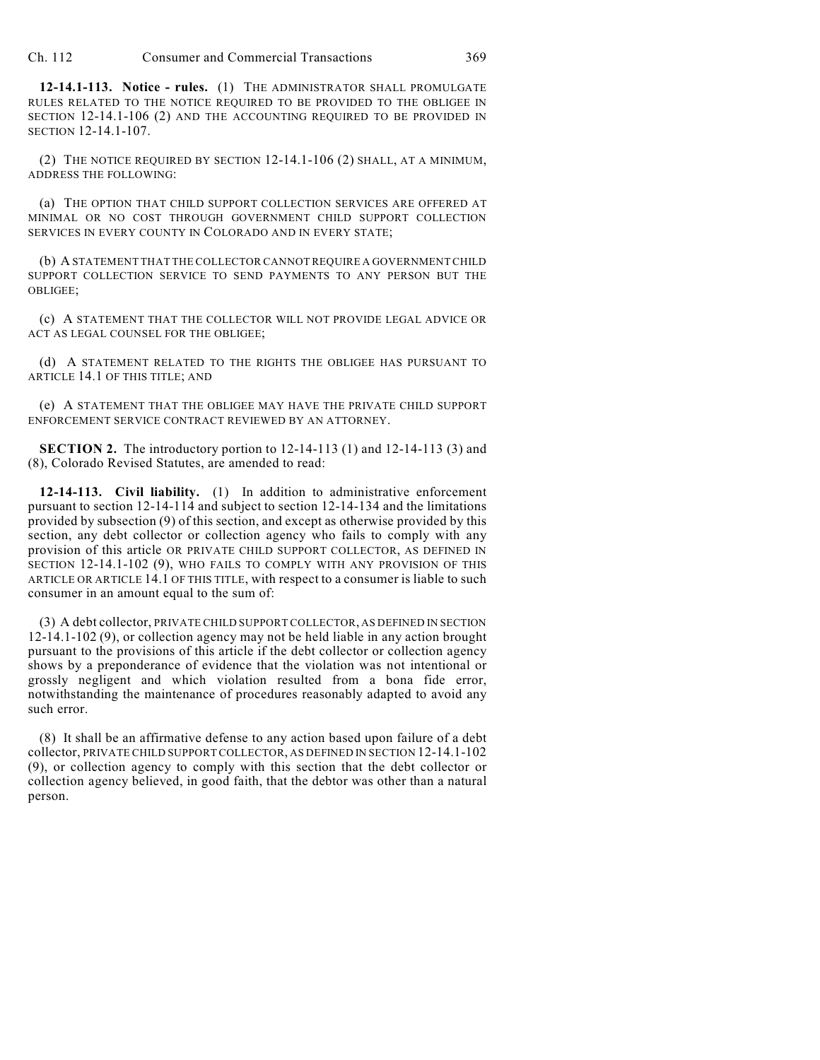Ch. 112 Consumer and Commercial Transactions 369

**12-14.1-113. Notice - rules.** (1) THE ADMINISTRATOR SHALL PROMULGATE RULES RELATED TO THE NOTICE REQUIRED TO BE PROVIDED TO THE OBLIGEE IN SECTION 12-14.1-106 (2) AND THE ACCOUNTING REQUIRED TO BE PROVIDED IN SECTION 12-14.1-107.

(2) THE NOTICE REQUIRED BY SECTION 12-14.1-106 (2) SHALL, AT A MINIMUM, ADDRESS THE FOLLOWING:

(a) THE OPTION THAT CHILD SUPPORT COLLECTION SERVICES ARE OFFERED AT MINIMAL OR NO COST THROUGH GOVERNMENT CHILD SUPPORT COLLECTION SERVICES IN EVERY COUNTY IN COLORADO AND IN EVERY STATE;

(b) A STATEMENT THAT THE COLLECTOR CANNOT REQUIRE A GOVERNMENT CHILD SUPPORT COLLECTION SERVICE TO SEND PAYMENTS TO ANY PERSON BUT THE OBLIGEE;

(c) A STATEMENT THAT THE COLLECTOR WILL NOT PROVIDE LEGAL ADVICE OR ACT AS LEGAL COUNSEL FOR THE OBLIGEE;

(d) A STATEMENT RELATED TO THE RIGHTS THE OBLIGEE HAS PURSUANT TO ARTICLE 14.1 OF THIS TITLE; AND

(e) A STATEMENT THAT THE OBLIGEE MAY HAVE THE PRIVATE CHILD SUPPORT ENFORCEMENT SERVICE CONTRACT REVIEWED BY AN ATTORNEY.

**SECTION 2.** The introductory portion to 12-14-113 (1) and 12-14-113 (3) and (8), Colorado Revised Statutes, are amended to read:

**12-14-113. Civil liability.** (1) In addition to administrative enforcement pursuant to section 12-14-114 and subject to section 12-14-134 and the limitations provided by subsection (9) of this section, and except as otherwise provided by this section, any debt collector or collection agency who fails to comply with any provision of this article OR PRIVATE CHILD SUPPORT COLLECTOR, AS DEFINED IN SECTION 12-14.1-102 (9), WHO FAILS TO COMPLY WITH ANY PROVISION OF THIS ARTICLE OR ARTICLE 14.1 OF THIS TITLE, with respect to a consumer is liable to such consumer in an amount equal to the sum of:

(3) A debt collector, PRIVATE CHILD SUPPORT COLLECTOR, AS DEFINED IN SECTION 12-14.1-102 (9), or collection agency may not be held liable in any action brought pursuant to the provisions of this article if the debt collector or collection agency shows by a preponderance of evidence that the violation was not intentional or grossly negligent and which violation resulted from a bona fide error, notwithstanding the maintenance of procedures reasonably adapted to avoid any such error.

(8) It shall be an affirmative defense to any action based upon failure of a debt collector, PRIVATE CHILD SUPPORT COLLECTOR, AS DEFINED IN SECTION 12-14.1-102 (9), or collection agency to comply with this section that the debt collector or collection agency believed, in good faith, that the debtor was other than a natural person.